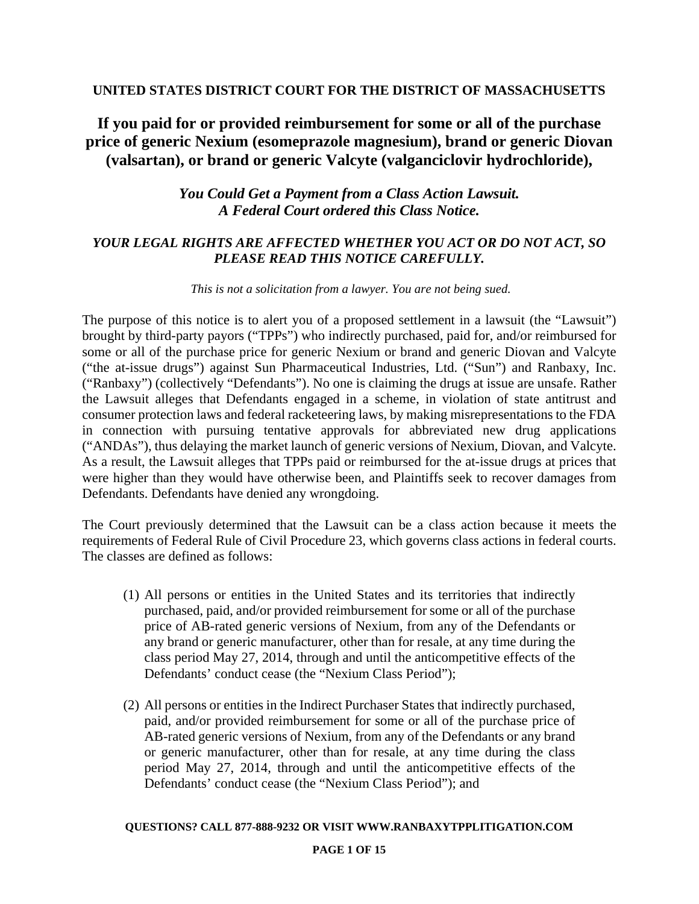## **UNITED STATES DISTRICT COURT FOR THE DISTRICT OF MASSACHUSETTS**

# **If you paid for or provided reimbursement for some or all of the purchase price of generic Nexium (esomeprazole magnesium), brand or generic Diovan (valsartan), or brand or generic Valcyte (valganciclovir hydrochloride),**

## *You Could Get a Payment from a Class Action Lawsuit. A Federal Court ordered this Class Notice.*

## *YOUR LEGAL RIGHTS ARE AFFECTED WHETHER YOU ACT OR DO NOT ACT, SO PLEASE READ THIS NOTICE CAREFULLY.*

### *This is not a solicitation from a lawyer. You are not being sued.*

The purpose of this notice is to alert you of a proposed settlement in a lawsuit (the "Lawsuit") brought by third-party payors ("TPPs") who indirectly purchased, paid for, and/or reimbursed for some or all of the purchase price for generic Nexium or brand and generic Diovan and Valcyte ("the at-issue drugs") against Sun Pharmaceutical Industries, Ltd. ("Sun") and Ranbaxy, Inc. ("Ranbaxy") (collectively "Defendants"). No one is claiming the drugs at issue are unsafe. Rather the Lawsuit alleges that Defendants engaged in a scheme, in violation of state antitrust and consumer protection laws and federal racketeering laws, by making misrepresentations to the FDA in connection with pursuing tentative approvals for abbreviated new drug applications ("ANDAs"), thus delaying the market launch of generic versions of Nexium, Diovan, and Valcyte. As a result, the Lawsuit alleges that TPPs paid or reimbursed for the at-issue drugs at prices that were higher than they would have otherwise been, and Plaintiffs seek to recover damages from Defendants. Defendants have denied any wrongdoing.

The Court previously determined that the Lawsuit can be a class action because it meets the requirements of Federal Rule of Civil Procedure 23, which governs class actions in federal courts. The classes are defined as follows:

- (1) All persons or entities in the United States and its territories that indirectly purchased, paid, and/or provided reimbursement for some or all of the purchase price of AB-rated generic versions of Nexium, from any of the Defendants or any brand or generic manufacturer, other than for resale, at any time during the class period May 27, 2014, through and until the anticompetitive effects of the Defendants' conduct cease (the "Nexium Class Period");
- (2) All persons or entities in the Indirect Purchaser States that indirectly purchased, paid, and/or provided reimbursement for some or all of the purchase price of AB-rated generic versions of Nexium, from any of the Defendants or any brand or generic manufacturer, other than for resale, at any time during the class period May 27, 2014, through and until the anticompetitive effects of the Defendants' conduct cease (the "Nexium Class Period"); and

### **QUESTIONS? CALL 877-888-9232 OR VISIT WWW.RANBAXYTPPLITIGATION.COM**

### **PAGE 1 OF 15**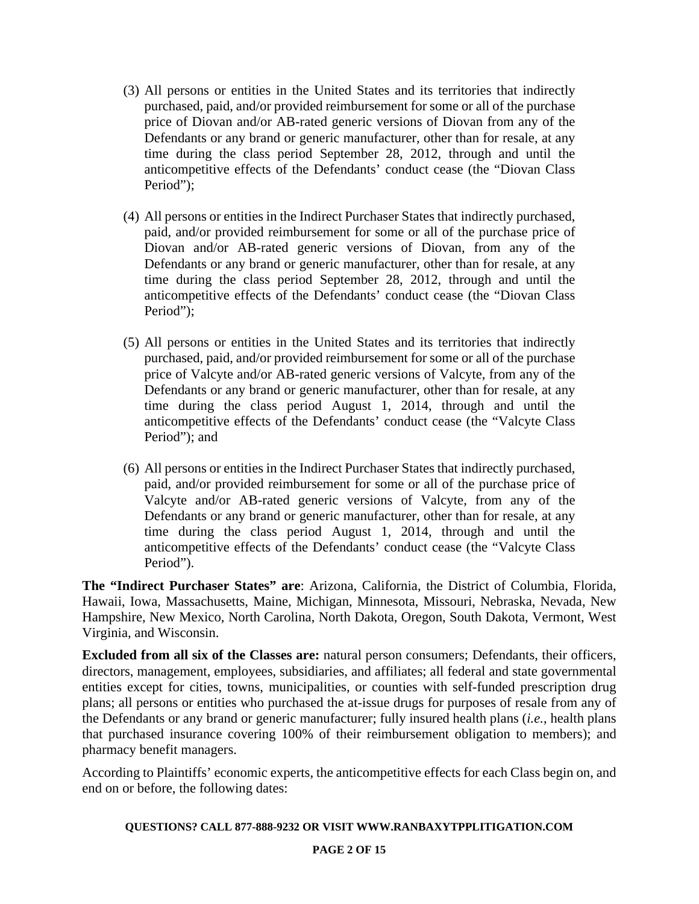- (3) All persons or entities in the United States and its territories that indirectly purchased, paid, and/or provided reimbursement for some or all of the purchase price of Diovan and/or AB-rated generic versions of Diovan from any of the Defendants or any brand or generic manufacturer, other than for resale, at any time during the class period September 28, 2012, through and until the anticompetitive effects of the Defendants' conduct cease (the "Diovan Class Period");
- (4) All persons or entities in the Indirect Purchaser States that indirectly purchased, paid, and/or provided reimbursement for some or all of the purchase price of Diovan and/or AB-rated generic versions of Diovan, from any of the Defendants or any brand or generic manufacturer, other than for resale, at any time during the class period September 28, 2012, through and until the anticompetitive effects of the Defendants' conduct cease (the "Diovan Class Period");
- (5) All persons or entities in the United States and its territories that indirectly purchased, paid, and/or provided reimbursement for some or all of the purchase price of Valcyte and/or AB-rated generic versions of Valcyte, from any of the Defendants or any brand or generic manufacturer, other than for resale, at any time during the class period August 1, 2014, through and until the anticompetitive effects of the Defendants' conduct cease (the "Valcyte Class Period"); and
- (6) All persons or entities in the Indirect Purchaser States that indirectly purchased, paid, and/or provided reimbursement for some or all of the purchase price of Valcyte and/or AB-rated generic versions of Valcyte, from any of the Defendants or any brand or generic manufacturer, other than for resale, at any time during the class period August 1, 2014, through and until the anticompetitive effects of the Defendants' conduct cease (the "Valcyte Class Period").

**The "Indirect Purchaser States" are**: Arizona, California, the District of Columbia, Florida, Hawaii, Iowa, Massachusetts, Maine, Michigan, Minnesota, Missouri, Nebraska, Nevada, New Hampshire, New Mexico, North Carolina, North Dakota, Oregon, South Dakota, Vermont, West Virginia, and Wisconsin.

**Excluded from all six of the Classes are:** natural person consumers; Defendants, their officers, directors, management, employees, subsidiaries, and affiliates; all federal and state governmental entities except for cities, towns, municipalities, or counties with self-funded prescription drug plans; all persons or entities who purchased the at-issue drugs for purposes of resale from any of the Defendants or any brand or generic manufacturer; fully insured health plans (*i.e.*, health plans that purchased insurance covering 100% of their reimbursement obligation to members); and pharmacy benefit managers.

According to Plaintiffs' economic experts, the anticompetitive effects for each Class begin on, and end on or before, the following dates:

### **QUESTIONS? CALL 877-888-9232 OR VISIT WWW.RANBAXYTPPLITIGATION.COM**

### **PAGE 2 OF 15**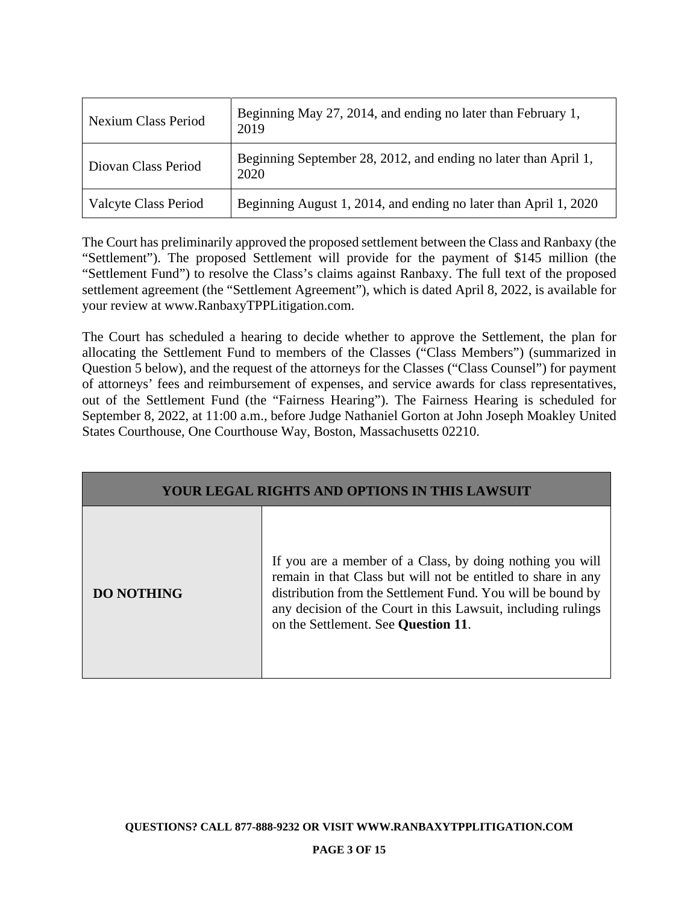| <b>Nexium Class Period</b>  | Beginning May 27, 2014, and ending no later than February 1,<br>2019    |
|-----------------------------|-------------------------------------------------------------------------|
| Diovan Class Period         | Beginning September 28, 2012, and ending no later than April 1,<br>2020 |
| <b>Valcyte Class Period</b> | Beginning August 1, 2014, and ending no later than April 1, 2020        |

The Court has preliminarily approved the proposed settlement between the Class and Ranbaxy (the "Settlement"). The proposed Settlement will provide for the payment of \$145 million (the "Settlement Fund") to resolve the Class's claims against Ranbaxy. The full text of the proposed settlement agreement (the "Settlement Agreement"), which is dated April 8, 2022, is available for your review at www.RanbaxyTPPLitigation.com.

The Court has scheduled a hearing to decide whether to approve the Settlement, the plan for allocating the Settlement Fund to members of the Classes ("Class Members") (summarized in Question 5 below), and the request of the attorneys for the Classes ("Class Counsel") for payment of attorneys' fees and reimbursement of expenses, and service awards for class representatives, out of the Settlement Fund (the "Fairness Hearing"). The Fairness Hearing is scheduled for September 8, 2022, at 11:00 a.m., before Judge Nathaniel Gorton at John Joseph Moakley United States Courthouse, One Courthouse Way, Boston, Massachusetts 02210.

| <b>YOUR LEGAL RIGHTS AND OPTIONS IN THIS LAWSUIT</b> |                                                                                                                                                                                                                                                                                                  |  |
|------------------------------------------------------|--------------------------------------------------------------------------------------------------------------------------------------------------------------------------------------------------------------------------------------------------------------------------------------------------|--|
| <b>DO NOTHING</b>                                    | If you are a member of a Class, by doing nothing you will<br>remain in that Class but will not be entitled to share in any<br>distribution from the Settlement Fund. You will be bound by<br>any decision of the Court in this Lawsuit, including rulings<br>on the Settlement. See Question 11. |  |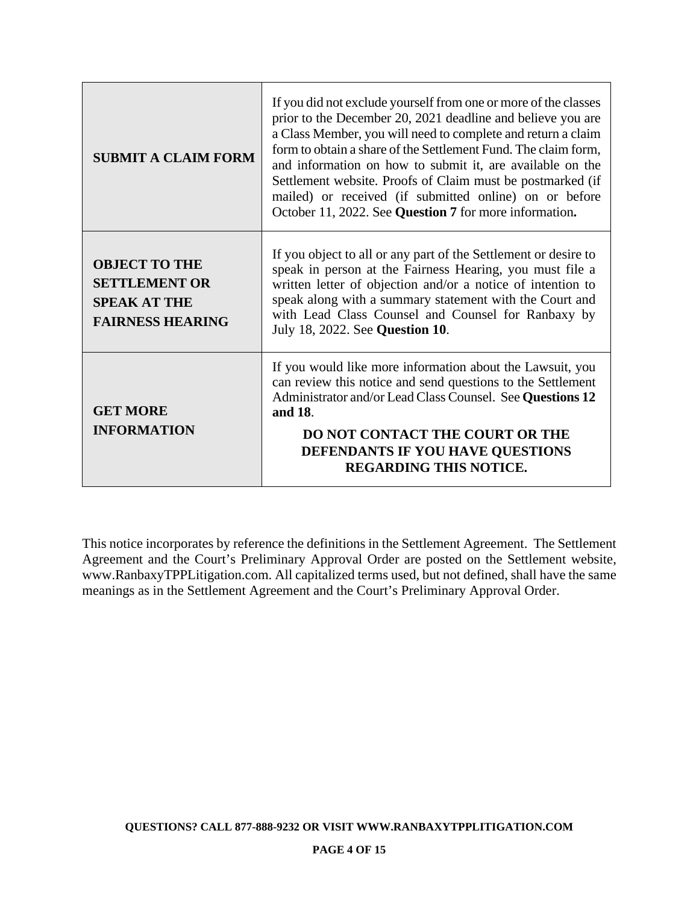| <b>SUBMIT A CLAIM FORM</b>                                                                     | If you did not exclude yourself from one or more of the classes<br>prior to the December 20, 2021 deadline and believe you are<br>a Class Member, you will need to complete and return a claim<br>form to obtain a share of the Settlement Fund. The claim form,<br>and information on how to submit it, are available on the<br>Settlement website. Proofs of Claim must be postmarked (if<br>mailed) or received (if submitted online) on or before<br>October 11, 2022. See Question 7 for more information. |
|------------------------------------------------------------------------------------------------|-----------------------------------------------------------------------------------------------------------------------------------------------------------------------------------------------------------------------------------------------------------------------------------------------------------------------------------------------------------------------------------------------------------------------------------------------------------------------------------------------------------------|
| <b>OBJECT TO THE</b><br><b>SETTLEMENT OR</b><br><b>SPEAK AT THE</b><br><b>FAIRNESS HEARING</b> | If you object to all or any part of the Settlement or desire to<br>speak in person at the Fairness Hearing, you must file a<br>written letter of objection and/or a notice of intention to<br>speak along with a summary statement with the Court and<br>with Lead Class Counsel and Counsel for Ranbaxy by<br>July 18, 2022. See Question 10.                                                                                                                                                                  |
| <b>GET MORE</b><br><b>INFORMATION</b>                                                          | If you would like more information about the Lawsuit, you<br>can review this notice and send questions to the Settlement<br>Administrator and/or Lead Class Counsel. See Questions 12<br>and 18.<br>DO NOT CONTACT THE COURT OR THE<br>DEFENDANTS IF YOU HAVE QUESTIONS<br><b>REGARDING THIS NOTICE.</b>                                                                                                                                                                                                        |

This notice incorporates by reference the definitions in the Settlement Agreement. The Settlement Agreement and the Court's Preliminary Approval Order are posted on the Settlement website, www.RanbaxyTPPLitigation.com. All capitalized terms used, but not defined, shall have the same meanings as in the Settlement Agreement and the Court's Preliminary Approval Order.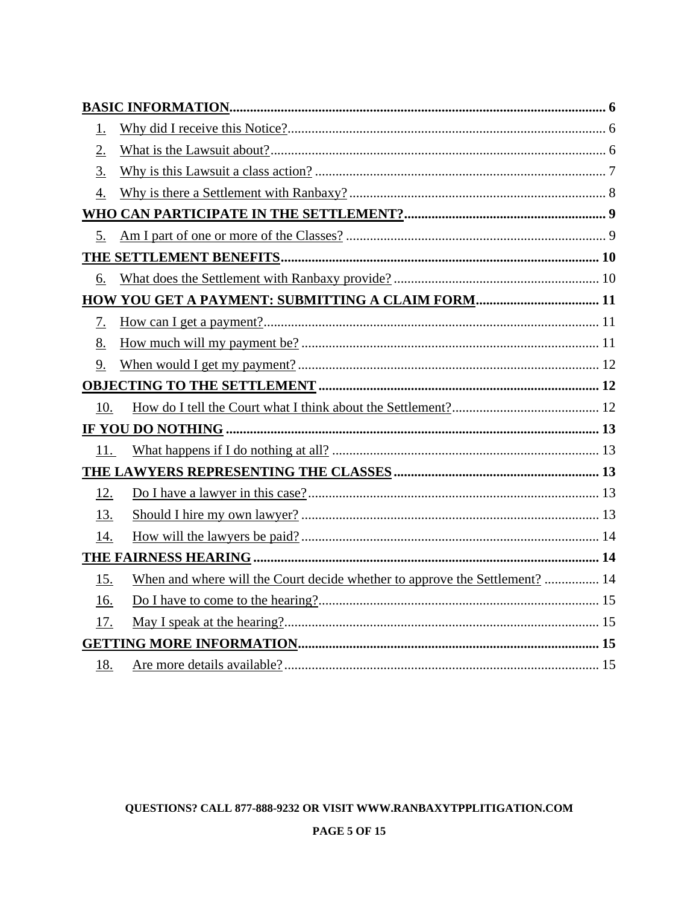| <u>1.</u>        |                                                                             |
|------------------|-----------------------------------------------------------------------------|
| 2.               |                                                                             |
| 3.               |                                                                             |
| $\overline{4}$ . |                                                                             |
|                  |                                                                             |
| 5.               |                                                                             |
|                  |                                                                             |
| 6.               |                                                                             |
|                  | HOW YOU GET A PAYMENT: SUBMITTING A CLAIM FORM 11                           |
| 7.               |                                                                             |
| 8.               |                                                                             |
| 9.               |                                                                             |
|                  |                                                                             |
| 10.              |                                                                             |
|                  |                                                                             |
| 11.              |                                                                             |
|                  |                                                                             |
| 12.              |                                                                             |
| 13.              |                                                                             |
| 14.              |                                                                             |
|                  |                                                                             |
| 15.              | When and where will the Court decide whether to approve the Settlement?  14 |
| 16.              |                                                                             |
| 17.              |                                                                             |
|                  |                                                                             |
| 18.              |                                                                             |

## QUESTIONS? CALL 877-888-9232 OR VISIT WWW.RANBAXYTPPLITIGATION.COM

### **PAGE 5 OF 15**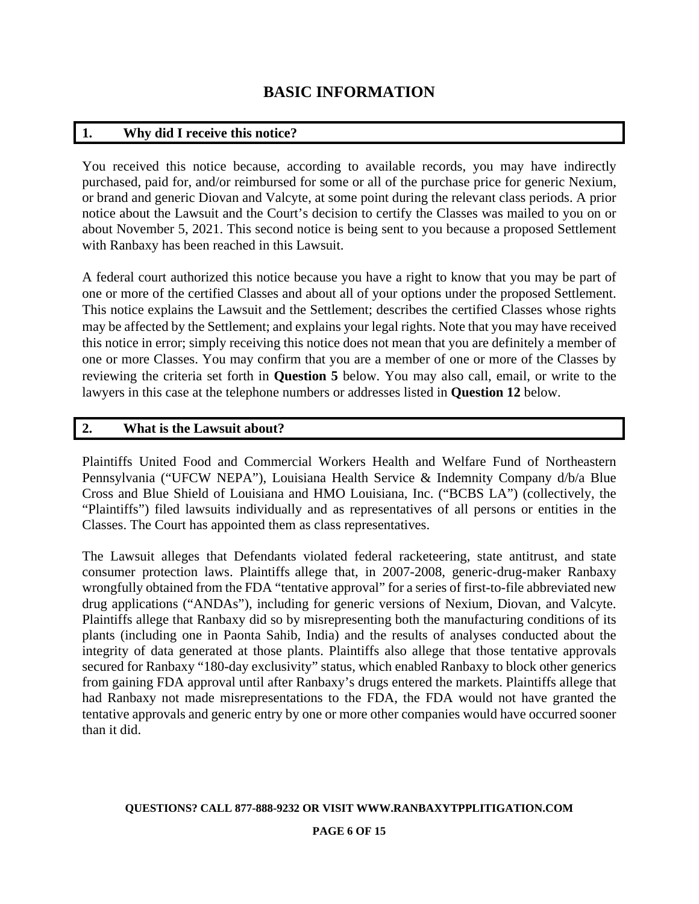## **BASIC INFORMATION**

## **1. Why did I receive this notice?**

You received this notice because, according to available records, you may have indirectly purchased, paid for, and/or reimbursed for some or all of the purchase price for generic Nexium, or brand and generic Diovan and Valcyte, at some point during the relevant class periods. A prior notice about the Lawsuit and the Court's decision to certify the Classes was mailed to you on or about November 5, 2021. This second notice is being sent to you because a proposed Settlement with Ranbaxy has been reached in this Lawsuit.

A federal court authorized this notice because you have a right to know that you may be part of one or more of the certified Classes and about all of your options under the proposed Settlement. This notice explains the Lawsuit and the Settlement; describes the certified Classes whose rights may be affected by the Settlement; and explains your legal rights. Note that you may have received this notice in error; simply receiving this notice does not mean that you are definitely a member of one or more Classes. You may confirm that you are a member of one or more of the Classes by reviewing the criteria set forth in **Question 5** below. You may also call, email, or write to the lawyers in this case at the telephone numbers or addresses listed in **Question 12** below.

## **2. What is the Lawsuit about?**

Plaintiffs United Food and Commercial Workers Health and Welfare Fund of Northeastern Pennsylvania ("UFCW NEPA"), Louisiana Health Service & Indemnity Company d/b/a Blue Cross and Blue Shield of Louisiana and HMO Louisiana, Inc. ("BCBS LA") (collectively, the "Plaintiffs") filed lawsuits individually and as representatives of all persons or entities in the Classes. The Court has appointed them as class representatives.

The Lawsuit alleges that Defendants violated federal racketeering, state antitrust, and state consumer protection laws. Plaintiffs allege that, in 2007-2008, generic-drug-maker Ranbaxy wrongfully obtained from the FDA "tentative approval" for a series of first-to-file abbreviated new drug applications ("ANDAs"), including for generic versions of Nexium, Diovan, and Valcyte. Plaintiffs allege that Ranbaxy did so by misrepresenting both the manufacturing conditions of its plants (including one in Paonta Sahib, India) and the results of analyses conducted about the integrity of data generated at those plants. Plaintiffs also allege that those tentative approvals secured for Ranbaxy "180-day exclusivity" status, which enabled Ranbaxy to block other generics from gaining FDA approval until after Ranbaxy's drugs entered the markets. Plaintiffs allege that had Ranbaxy not made misrepresentations to the FDA, the FDA would not have granted the tentative approvals and generic entry by one or more other companies would have occurred sooner than it did.

#### **QUESTIONS? CALL 877-888-9232 OR VISIT WWW.RANBAXYTPPLITIGATION.COM**

### **PAGE 6 OF 15**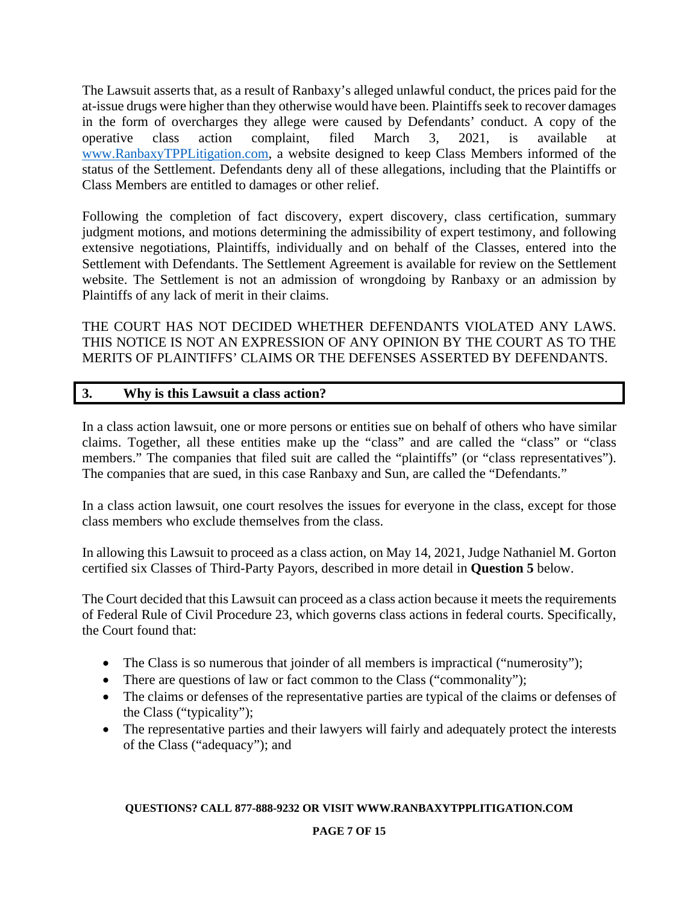The Lawsuit asserts that, as a result of Ranbaxy's alleged unlawful conduct, the prices paid for the at-issue drugs were higher than they otherwise would have been. Plaintiffs seek to recover damages in the form of overcharges they allege were caused by Defendants' conduct. A copy of the operative class action complaint, filed March 3, 2021, is available at www.RanbaxyTPPLitigation.com, a website designed to keep Class Members informed of the status of the Settlement. Defendants deny all of these allegations, including that the Plaintiffs or Class Members are entitled to damages or other relief.

Following the completion of fact discovery, expert discovery, class certification, summary judgment motions, and motions determining the admissibility of expert testimony, and following extensive negotiations, Plaintiffs, individually and on behalf of the Classes, entered into the Settlement with Defendants. The Settlement Agreement is available for review on the Settlement website. The Settlement is not an admission of wrongdoing by Ranbaxy or an admission by Plaintiffs of any lack of merit in their claims.

THE COURT HAS NOT DECIDED WHETHER DEFENDANTS VIOLATED ANY LAWS. THIS NOTICE IS NOT AN EXPRESSION OF ANY OPINION BY THE COURT AS TO THE MERITS OF PLAINTIFFS' CLAIMS OR THE DEFENSES ASSERTED BY DEFENDANTS.

## **3. Why is this Lawsuit a class action?**

In a class action lawsuit, one or more persons or entities sue on behalf of others who have similar claims. Together, all these entities make up the "class" and are called the "class" or "class members." The companies that filed suit are called the "plaintiffs" (or "class representatives"). The companies that are sued, in this case Ranbaxy and Sun, are called the "Defendants."

In a class action lawsuit, one court resolves the issues for everyone in the class, except for those class members who exclude themselves from the class.

In allowing this Lawsuit to proceed as a class action, on May 14, 2021, Judge Nathaniel M. Gorton certified six Classes of Third-Party Payors, described in more detail in **Question 5** below.

The Court decided that this Lawsuit can proceed as a class action because it meets the requirements of Federal Rule of Civil Procedure 23, which governs class actions in federal courts. Specifically, the Court found that:

- The Class is so numerous that joinder of all members is impractical ("numerosity");
- There are questions of law or fact common to the Class ("commonality");
- The claims or defenses of the representative parties are typical of the claims or defenses of the Class ("typicality");
- The representative parties and their lawyers will fairly and adequately protect the interests of the Class ("adequacy"); and

### **QUESTIONS? CALL 877-888-9232 OR VISIT WWW.RANBAXYTPPLITIGATION.COM**

## **PAGE 7 OF 15**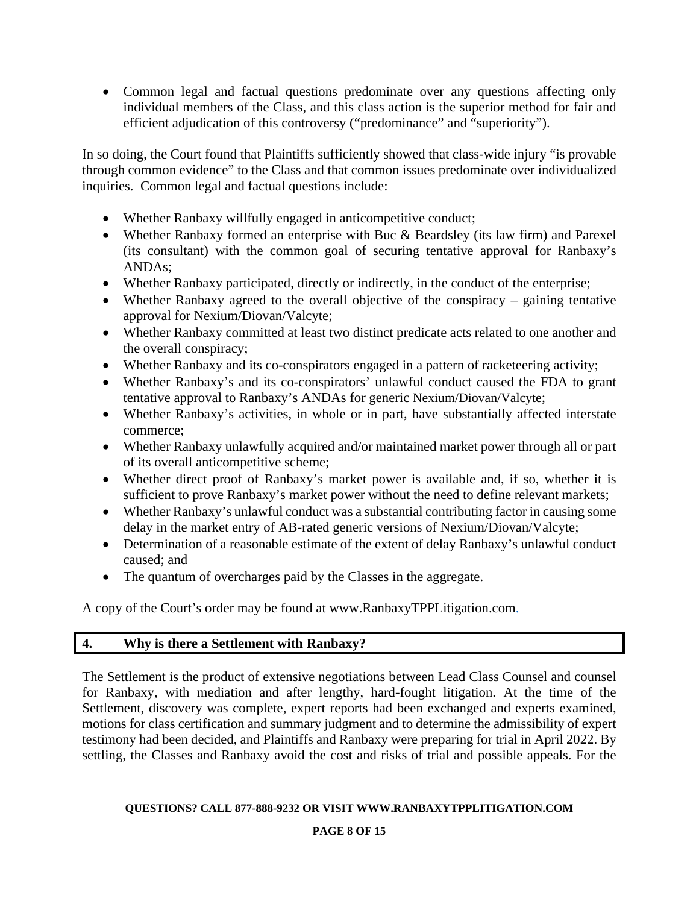Common legal and factual questions predominate over any questions affecting only individual members of the Class, and this class action is the superior method for fair and efficient adjudication of this controversy ("predominance" and "superiority").

In so doing, the Court found that Plaintiffs sufficiently showed that class-wide injury "is provable through common evidence" to the Class and that common issues predominate over individualized inquiries. Common legal and factual questions include:

- Whether Ranbaxy willfully engaged in anticompetitive conduct;
- Whether Ranbaxy formed an enterprise with Buc & Beardsley (its law firm) and Parexel (its consultant) with the common goal of securing tentative approval for Ranbaxy's ANDAs;
- Whether Ranbaxy participated, directly or indirectly, in the conduct of the enterprise;
- Whether Ranbaxy agreed to the overall objective of the conspiracy gaining tentative approval for Nexium/Diovan/Valcyte;
- Whether Ranbaxy committed at least two distinct predicate acts related to one another and the overall conspiracy;
- Whether Ranbaxy and its co-conspirators engaged in a pattern of racketeering activity;
- Whether Ranbaxy's and its co-conspirators' unlawful conduct caused the FDA to grant tentative approval to Ranbaxy's ANDAs for generic Nexium/Diovan/Valcyte;
- Whether Ranbaxy's activities, in whole or in part, have substantially affected interstate commerce;
- Whether Ranbaxy unlawfully acquired and/or maintained market power through all or part of its overall anticompetitive scheme;
- Whether direct proof of Ranbaxy's market power is available and, if so, whether it is sufficient to prove Ranbaxy's market power without the need to define relevant markets;
- Whether Ranbaxy's unlawful conduct was a substantial contributing factor in causing some delay in the market entry of AB-rated generic versions of Nexium/Diovan/Valcyte;
- Determination of a reasonable estimate of the extent of delay Ranbaxy's unlawful conduct caused; and
- The quantum of overcharges paid by the Classes in the aggregate.

A copy of the Court's order may be found at www.RanbaxyTPPLitigation.com.

## **4. Why is there a Settlement with Ranbaxy?**

The Settlement is the product of extensive negotiations between Lead Class Counsel and counsel for Ranbaxy, with mediation and after lengthy, hard-fought litigation. At the time of the Settlement, discovery was complete, expert reports had been exchanged and experts examined, motions for class certification and summary judgment and to determine the admissibility of expert testimony had been decided, and Plaintiffs and Ranbaxy were preparing for trial in April 2022. By settling, the Classes and Ranbaxy avoid the cost and risks of trial and possible appeals. For the

## **QUESTIONS? CALL 877-888-9232 OR VISIT WWW.RANBAXYTPPLITIGATION.COM**

## **PAGE 8 OF 15**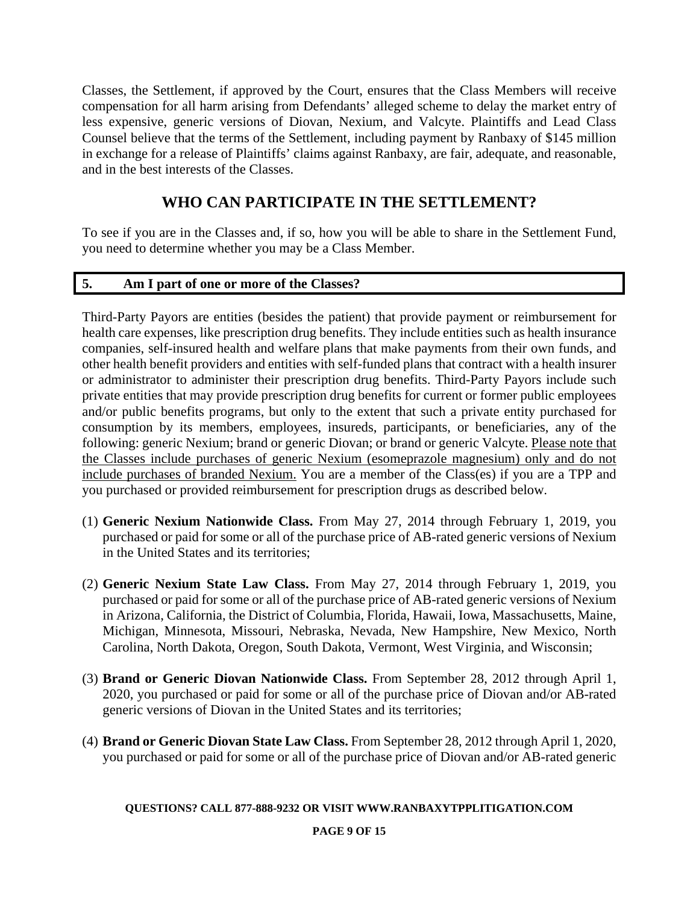Classes, the Settlement, if approved by the Court, ensures that the Class Members will receive compensation for all harm arising from Defendants' alleged scheme to delay the market entry of less expensive, generic versions of Diovan, Nexium, and Valcyte. Plaintiffs and Lead Class Counsel believe that the terms of the Settlement, including payment by Ranbaxy of \$145 million in exchange for a release of Plaintiffs' claims against Ranbaxy, are fair, adequate, and reasonable, and in the best interests of the Classes.

# **WHO CAN PARTICIPATE IN THE SETTLEMENT?**

To see if you are in the Classes and, if so, how you will be able to share in the Settlement Fund, you need to determine whether you may be a Class Member.

## **5. Am I part of one or more of the Classes?**

Third-Party Payors are entities (besides the patient) that provide payment or reimbursement for health care expenses, like prescription drug benefits. They include entities such as health insurance companies, self-insured health and welfare plans that make payments from their own funds, and other health benefit providers and entities with self-funded plans that contract with a health insurer or administrator to administer their prescription drug benefits. Third-Party Payors include such private entities that may provide prescription drug benefits for current or former public employees and/or public benefits programs, but only to the extent that such a private entity purchased for consumption by its members, employees, insureds, participants, or beneficiaries, any of the following: generic Nexium; brand or generic Diovan; or brand or generic Valcyte. Please note that the Classes include purchases of generic Nexium (esomeprazole magnesium) only and do not include purchases of branded Nexium. You are a member of the Class(es) if you are a TPP and you purchased or provided reimbursement for prescription drugs as described below.

- (1) **Generic Nexium Nationwide Class.** From May 27, 2014 through February 1, 2019, you purchased or paid for some or all of the purchase price of AB-rated generic versions of Nexium in the United States and its territories;
- (2) **Generic Nexium State Law Class.** From May 27, 2014 through February 1, 2019, you purchased or paid for some or all of the purchase price of AB-rated generic versions of Nexium in Arizona, California, the District of Columbia, Florida, Hawaii, Iowa, Massachusetts, Maine, Michigan, Minnesota, Missouri, Nebraska, Nevada, New Hampshire, New Mexico, North Carolina, North Dakota, Oregon, South Dakota, Vermont, West Virginia, and Wisconsin;
- (3) **Brand or Generic Diovan Nationwide Class.** From September 28, 2012 through April 1, 2020, you purchased or paid for some or all of the purchase price of Diovan and/or AB-rated generic versions of Diovan in the United States and its territories;
- (4) **Brand or Generic Diovan State Law Class.** From September 28, 2012 through April 1, 2020, you purchased or paid for some or all of the purchase price of Diovan and/or AB-rated generic

### **QUESTIONS? CALL 877-888-9232 OR VISIT WWW.RANBAXYTPPLITIGATION.COM**

### **PAGE 9 OF 15**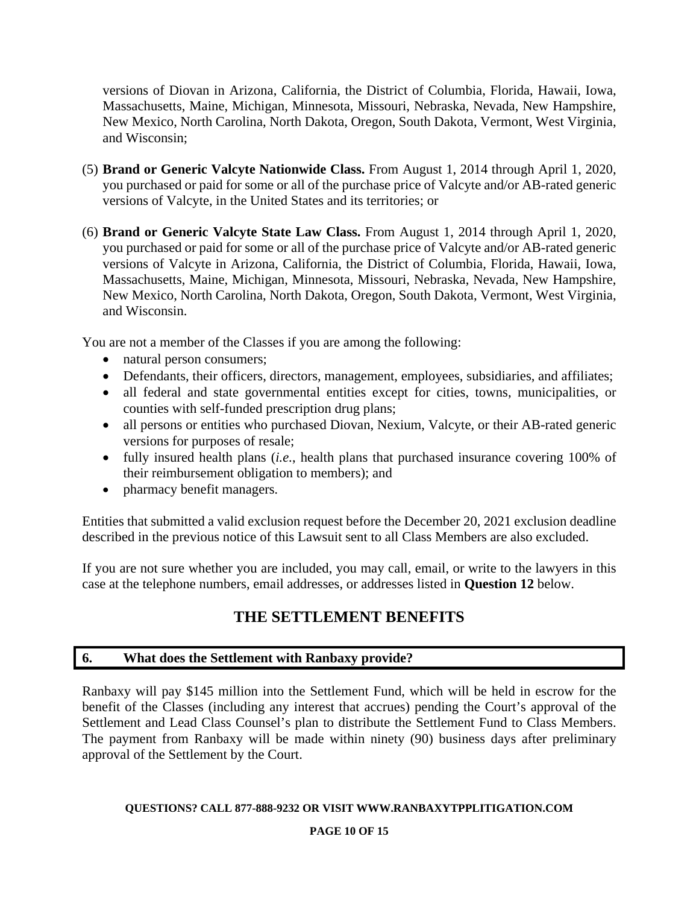versions of Diovan in Arizona, California, the District of Columbia, Florida, Hawaii, Iowa, Massachusetts, Maine, Michigan, Minnesota, Missouri, Nebraska, Nevada, New Hampshire, New Mexico, North Carolina, North Dakota, Oregon, South Dakota, Vermont, West Virginia, and Wisconsin;

- (5) **Brand or Generic Valcyte Nationwide Class.** From August 1, 2014 through April 1, 2020, you purchased or paid for some or all of the purchase price of Valcyte and/or AB-rated generic versions of Valcyte, in the United States and its territories; or
- (6) **Brand or Generic Valcyte State Law Class.** From August 1, 2014 through April 1, 2020, you purchased or paid for some or all of the purchase price of Valcyte and/or AB-rated generic versions of Valcyte in Arizona, California, the District of Columbia, Florida, Hawaii, Iowa, Massachusetts, Maine, Michigan, Minnesota, Missouri, Nebraska, Nevada, New Hampshire, New Mexico, North Carolina, North Dakota, Oregon, South Dakota, Vermont, West Virginia, and Wisconsin.

You are not a member of the Classes if you are among the following:

- natural person consumers;
- Defendants, their officers, directors, management, employees, subsidiaries, and affiliates;
- all federal and state governmental entities except for cities, towns, municipalities, or counties with self-funded prescription drug plans;
- all persons or entities who purchased Diovan, Nexium, Valcyte, or their AB-rated generic versions for purposes of resale;
- fully insured health plans (*i.e.*, health plans that purchased insurance covering 100% of their reimbursement obligation to members); and
- pharmacy benefit managers.

Entities that submitted a valid exclusion request before the December 20, 2021 exclusion deadline described in the previous notice of this Lawsuit sent to all Class Members are also excluded.

If you are not sure whether you are included, you may call, email, or write to the lawyers in this case at the telephone numbers, email addresses, or addresses listed in **Question 12** below.

# **THE SETTLEMENT BENEFITS**

## **6. What does the Settlement with Ranbaxy provide?**

Ranbaxy will pay \$145 million into the Settlement Fund, which will be held in escrow for the benefit of the Classes (including any interest that accrues) pending the Court's approval of the Settlement and Lead Class Counsel's plan to distribute the Settlement Fund to Class Members. The payment from Ranbaxy will be made within ninety (90) business days after preliminary approval of the Settlement by the Court.

### **QUESTIONS? CALL 877-888-9232 OR VISIT WWW.RANBAXYTPPLITIGATION.COM**

### **PAGE 10 OF 15**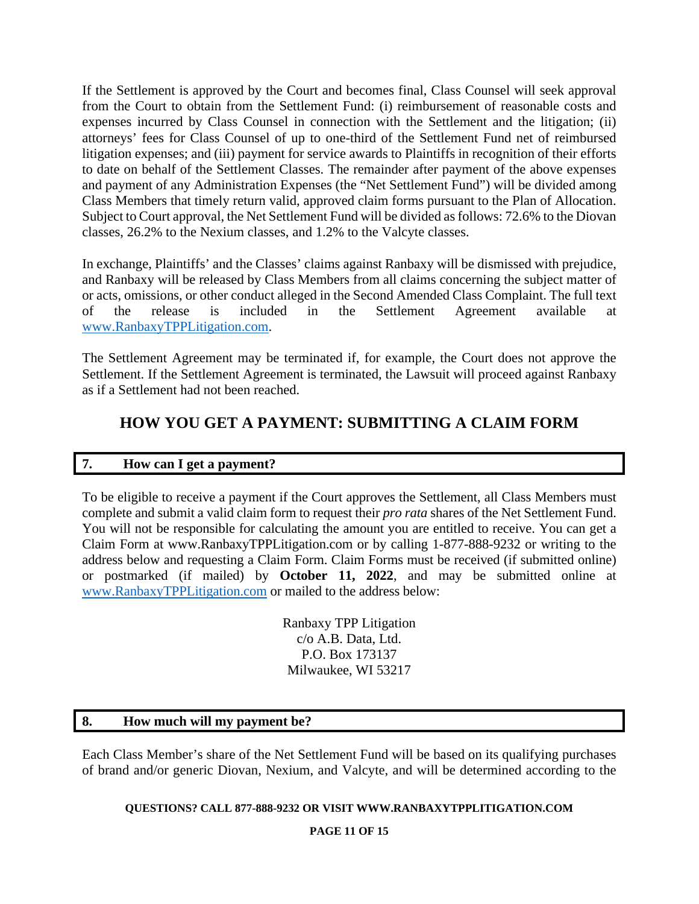If the Settlement is approved by the Court and becomes final, Class Counsel will seek approval from the Court to obtain from the Settlement Fund: (i) reimbursement of reasonable costs and expenses incurred by Class Counsel in connection with the Settlement and the litigation; (ii) attorneys' fees for Class Counsel of up to one-third of the Settlement Fund net of reimbursed litigation expenses; and (iii) payment for service awards to Plaintiffs in recognition of their efforts to date on behalf of the Settlement Classes. The remainder after payment of the above expenses and payment of any Administration Expenses (the "Net Settlement Fund") will be divided among Class Members that timely return valid, approved claim forms pursuant to the Plan of Allocation. Subject to Court approval, the Net Settlement Fund will be divided as follows: 72.6% to the Diovan classes, 26.2% to the Nexium classes, and 1.2% to the Valcyte classes.

In exchange, Plaintiffs' and the Classes' claims against Ranbaxy will be dismissed with prejudice, and Ranbaxy will be released by Class Members from all claims concerning the subject matter of or acts, omissions, or other conduct alleged in the Second Amended Class Complaint. The full text of the release is included in the Settlement Agreement available at www.RanbaxyTPPLitigation.com.

The Settlement Agreement may be terminated if, for example, the Court does not approve the Settlement. If the Settlement Agreement is terminated, the Lawsuit will proceed against Ranbaxy as if a Settlement had not been reached.

# **HOW YOU GET A PAYMENT: SUBMITTING A CLAIM FORM**

## **7. How can I get a payment?**

To be eligible to receive a payment if the Court approves the Settlement, all Class Members must complete and submit a valid claim form to request their *pro rata* shares of the Net Settlement Fund. You will not be responsible for calculating the amount you are entitled to receive. You can get a Claim Form at www.RanbaxyTPPLitigation.com or by calling 1-877-888-9232 or writing to the address below and requesting a Claim Form. Claim Forms must be received (if submitted online) or postmarked (if mailed) by **October 11, 2022**, and may be submitted online at www.RanbaxyTPPLitigation.com or mailed to the address below:

> Ranbaxy TPP Litigation c/o A.B. Data, Ltd. P.O. Box 173137 Milwaukee, WI 53217

## **8. How much will my payment be?**

Each Class Member's share of the Net Settlement Fund will be based on its qualifying purchases of brand and/or generic Diovan, Nexium, and Valcyte, and will be determined according to the

## **QUESTIONS? CALL 877-888-9232 OR VISIT WWW.RANBAXYTPPLITIGATION.COM**

**PAGE 11 OF 15**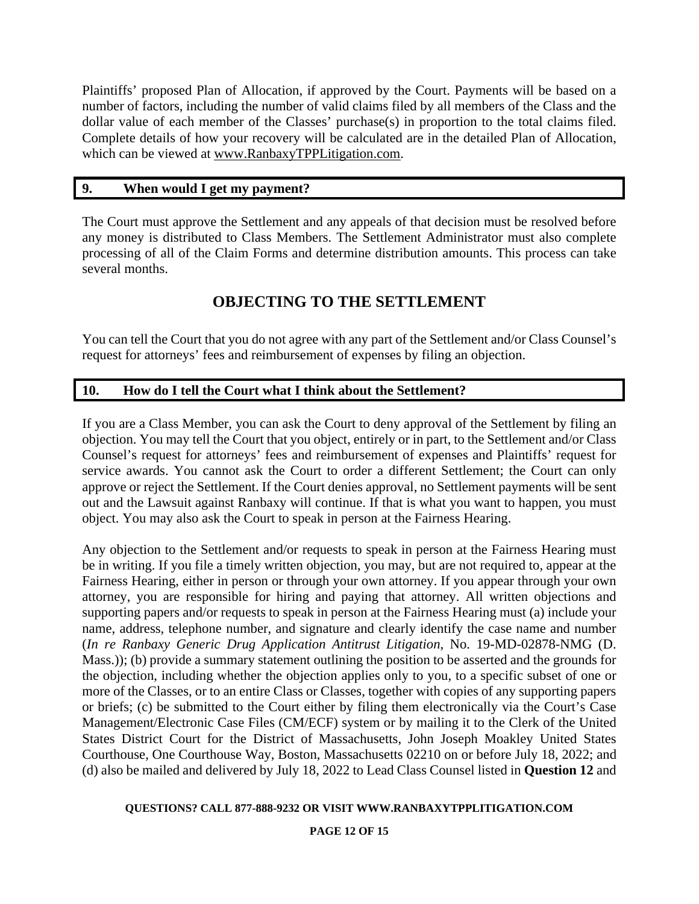Plaintiffs' proposed Plan of Allocation, if approved by the Court. Payments will be based on a number of factors, including the number of valid claims filed by all members of the Class and the dollar value of each member of the Classes' purchase(s) in proportion to the total claims filed. Complete details of how your recovery will be calculated are in the detailed Plan of Allocation, which can be viewed at www.RanbaxyTPPLitigation.com.

## **9. When would I get my payment?**

The Court must approve the Settlement and any appeals of that decision must be resolved before any money is distributed to Class Members. The Settlement Administrator must also complete processing of all of the Claim Forms and determine distribution amounts. This process can take several months.

# **OBJECTING TO THE SETTLEMENT**

You can tell the Court that you do not agree with any part of the Settlement and/or Class Counsel's request for attorneys' fees and reimbursement of expenses by filing an objection.

## **10. How do I tell the Court what I think about the Settlement?**

If you are a Class Member, you can ask the Court to deny approval of the Settlement by filing an objection. You may tell the Court that you object, entirely or in part, to the Settlement and/or Class Counsel's request for attorneys' fees and reimbursement of expenses and Plaintiffs' request for service awards. You cannot ask the Court to order a different Settlement; the Court can only approve or reject the Settlement. If the Court denies approval, no Settlement payments will be sent out and the Lawsuit against Ranbaxy will continue. If that is what you want to happen, you must object. You may also ask the Court to speak in person at the Fairness Hearing.

Any objection to the Settlement and/or requests to speak in person at the Fairness Hearing must be in writing. If you file a timely written objection, you may, but are not required to, appear at the Fairness Hearing, either in person or through your own attorney. If you appear through your own attorney, you are responsible for hiring and paying that attorney. All written objections and supporting papers and/or requests to speak in person at the Fairness Hearing must (a) include your name, address, telephone number, and signature and clearly identify the case name and number (*In re Ranbaxy Generic Drug Application Antitrust Litigation*, No. 19-MD-02878-NMG (D. Mass.)); (b) provide a summary statement outlining the position to be asserted and the grounds for the objection, including whether the objection applies only to you, to a specific subset of one or more of the Classes, or to an entire Class or Classes, together with copies of any supporting papers or briefs; (c) be submitted to the Court either by filing them electronically via the Court's Case Management/Electronic Case Files (CM/ECF) system or by mailing it to the Clerk of the United States District Court for the District of Massachusetts, John Joseph Moakley United States Courthouse, One Courthouse Way, Boston, Massachusetts 02210 on or before July 18, 2022; and (d) also be mailed and delivered by July 18, 2022 to Lead Class Counsel listed in **Question 12** and

### **QUESTIONS? CALL 877-888-9232 OR VISIT WWW.RANBAXYTPPLITIGATION.COM**

### **PAGE 12 OF 15**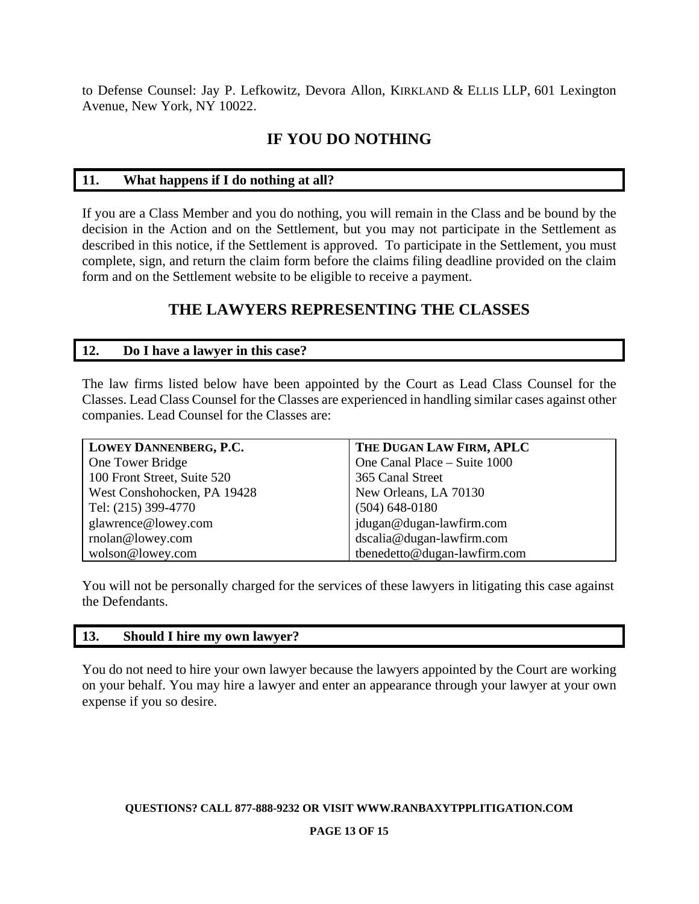to Defense Counsel: Jay P. Lefkowitz, Devora Allon, KIRKLAND & ELLIS LLP, 601 Lexington Avenue, New York, NY 10022.

# **IF YOU DO NOTHING**

## **11. What happens if I do nothing at all?**

If you are a Class Member and you do nothing, you will remain in the Class and be bound by the decision in the Action and on the Settlement, but you may not participate in the Settlement as described in this notice, if the Settlement is approved. To participate in the Settlement, you must complete, sign, and return the claim form before the claims filing deadline provided on the claim form and on the Settlement website to be eligible to receive a payment.

# **THE LAWYERS REPRESENTING THE CLASSES**

## **12. Do I have a lawyer in this case?**

The law firms listed below have been appointed by the Court as Lead Class Counsel for the Classes. Lead Class Counsel for the Classes are experienced in handling similar cases against other companies. Lead Counsel for the Classes are:

| LOWEY DANNENBERG, P.C.      | THE DUGAN LAW FIRM, APLC     |
|-----------------------------|------------------------------|
| One Tower Bridge            | One Canal Place - Suite 1000 |
| 100 Front Street, Suite 520 | 365 Canal Street             |
| West Conshohocken, PA 19428 | New Orleans, LA 70130        |
| Tel: (215) 399-4770         | $(504)$ 648-0180             |
| glawrence@lowey.com         | jdugan@dugan-lawfirm.com     |
| rnolan@lowey.com            | dscalia@dugan-lawfirm.com    |
| wolson@lowey.com            | tbenedetto@dugan-lawfirm.com |

You will not be personally charged for the services of these lawyers in litigating this case against the Defendants.

## **13. Should I hire my own lawyer?**

You do not need to hire your own lawyer because the lawyers appointed by the Court are working on your behalf. You may hire a lawyer and enter an appearance through your lawyer at your own expense if you so desire.

**QUESTIONS? CALL 877-888-9232 OR VISIT WWW.RANBAXYTPPLITIGATION.COM**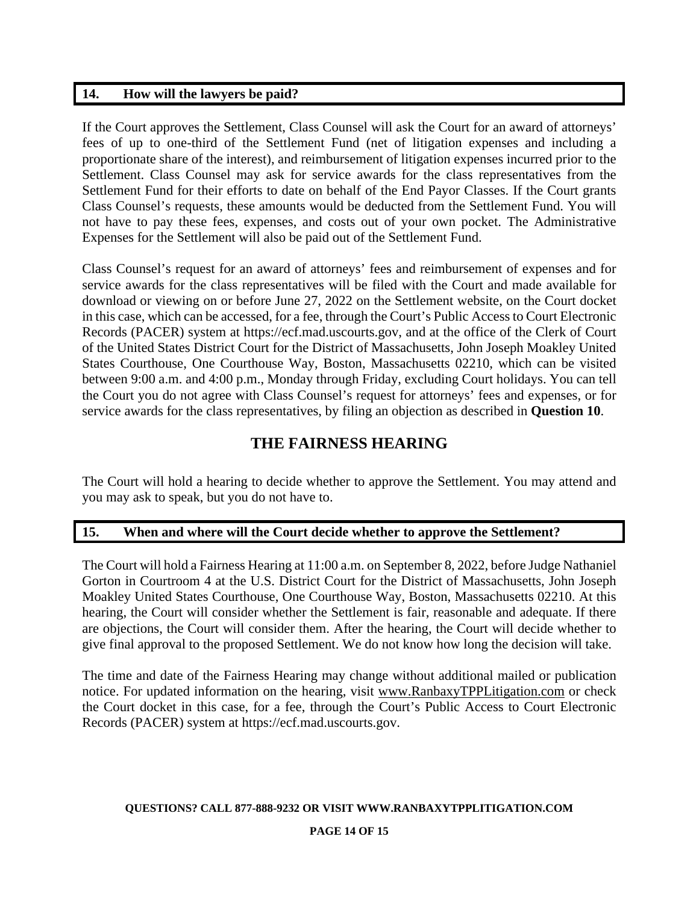## **14. How will the lawyers be paid?**

If the Court approves the Settlement, Class Counsel will ask the Court for an award of attorneys' fees of up to one-third of the Settlement Fund (net of litigation expenses and including a proportionate share of the interest), and reimbursement of litigation expenses incurred prior to the Settlement. Class Counsel may ask for service awards for the class representatives from the Settlement Fund for their efforts to date on behalf of the End Payor Classes. If the Court grants Class Counsel's requests, these amounts would be deducted from the Settlement Fund. You will not have to pay these fees, expenses, and costs out of your own pocket. The Administrative Expenses for the Settlement will also be paid out of the Settlement Fund.

Class Counsel's request for an award of attorneys' fees and reimbursement of expenses and for service awards for the class representatives will be filed with the Court and made available for download or viewing on or before June 27, 2022 on the Settlement website, on the Court docket in this case, which can be accessed, for a fee, through the Court's Public Access to Court Electronic Records (PACER) system at https://ecf.mad.uscourts.gov, and at the office of the Clerk of Court of the United States District Court for the District of Massachusetts, John Joseph Moakley United States Courthouse, One Courthouse Way, Boston, Massachusetts 02210, which can be visited between 9:00 a.m. and 4:00 p.m., Monday through Friday, excluding Court holidays. You can tell the Court you do not agree with Class Counsel's request for attorneys' fees and expenses, or for service awards for the class representatives, by filing an objection as described in **Question 10**.

## **THE FAIRNESS HEARING**

The Court will hold a hearing to decide whether to approve the Settlement. You may attend and you may ask to speak, but you do not have to.

## **15. When and where will the Court decide whether to approve the Settlement?**

The Court will hold a Fairness Hearing at 11:00 a.m. on September 8, 2022, before Judge Nathaniel Gorton in Courtroom 4 at the U.S. District Court for the District of Massachusetts, John Joseph Moakley United States Courthouse, One Courthouse Way, Boston, Massachusetts 02210. At this hearing, the Court will consider whether the Settlement is fair, reasonable and adequate. If there are objections, the Court will consider them. After the hearing, the Court will decide whether to give final approval to the proposed Settlement. We do not know how long the decision will take.

The time and date of the Fairness Hearing may change without additional mailed or publication notice. For updated information on the hearing, visit www.RanbaxyTPPLitigation.com or check the Court docket in this case, for a fee, through the Court's Public Access to Court Electronic Records (PACER) system at https://ecf.mad.uscourts.gov.

### **QUESTIONS? CALL 877-888-9232 OR VISIT WWW.RANBAXYTPPLITIGATION.COM**

### **PAGE 14 OF 15**